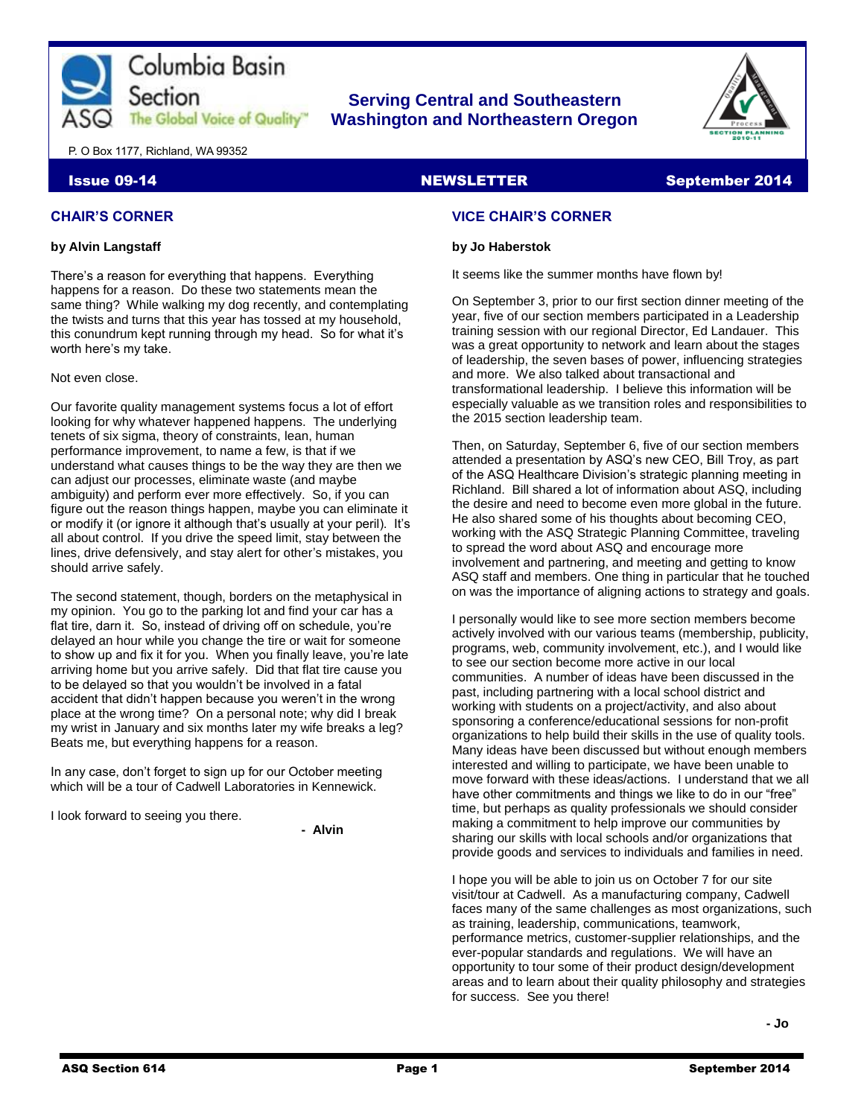

# **Serving Central and Southeastern The Global Voice of Quality | Washington and Northeastern Oregon**



P. O Box 1177, Richland, WA 99352

# Issue 09-14 NEWSLETTER September 2014

# **CHAIR'S CORNER**

# **by Alvin Langstaff**

There's a reason for everything that happens. Everything happens for a reason. Do these two statements mean the same thing? While walking my dog recently, and contemplating the twists and turns that this year has tossed at my household, this conundrum kept running through my head. So for what it's worth here's my take.

Not even close.

Our favorite quality management systems focus a lot of effort looking for why whatever happened happens. The underlying tenets of six sigma, theory of constraints, lean, human performance improvement, to name a few, is that if we understand what causes things to be the way they are then we can adjust our processes, eliminate waste (and maybe ambiguity) and perform ever more effectively. So, if you can figure out the reason things happen, maybe you can eliminate it or modify it (or ignore it although that's usually at your peril). It's all about control. If you drive the speed limit, stay between the lines, drive defensively, and stay alert for other's mistakes, you should arrive safely.

The second statement, though, borders on the metaphysical in my opinion. You go to the parking lot and find your car has a flat tire, darn it. So, instead of driving off on schedule, you're delayed an hour while you change the tire or wait for someone to show up and fix it for you. When you finally leave, you're late arriving home but you arrive safely. Did that flat tire cause you to be delayed so that you wouldn't be involved in a fatal accident that didn't happen because you weren't in the wrong place at the wrong time? On a personal note; why did I break my wrist in January and six months later my wife breaks a leg? Beats me, but everything happens for a reason.

In any case, don't forget to sign up for our October meeting which will be a tour of Cadwell Laboratories in Kennewick.

I look forward to seeing you there.

**- Alvin**

# **VICE CHAIR'S CORNER**

# **by Jo Haberstok**

It seems like the summer months have flown by!

On September 3, prior to our first section dinner meeting of the year, five of our section members participated in a Leadership training session with our regional Director, Ed Landauer. This was a great opportunity to network and learn about the stages of leadership, the seven bases of power, influencing strategies and more. We also talked about transactional and transformational leadership. I believe this information will be especially valuable as we transition roles and responsibilities to the 2015 section leadership team.

Then, on Saturday, September 6, five of our section members attended a presentation by ASQ's new CEO, Bill Troy, as part of the ASQ Healthcare Division's strategic planning meeting in Richland. Bill shared a lot of information about ASQ, including the desire and need to become even more global in the future. He also shared some of his thoughts about becoming CEO, working with the ASQ Strategic Planning Committee, traveling to spread the word about ASQ and encourage more involvement and partnering, and meeting and getting to know ASQ staff and members. One thing in particular that he touched on was the importance of aligning actions to strategy and goals.

I personally would like to see more section members become actively involved with our various teams (membership, publicity, programs, web, community involvement, etc.), and I would like to see our section become more active in our local communities. A number of ideas have been discussed in the past, including partnering with a local school district and working with students on a project/activity, and also about sponsoring a conference/educational sessions for non-profit organizations to help build their skills in the use of quality tools. Many ideas have been discussed but without enough members interested and willing to participate, we have been unable to move forward with these ideas/actions. I understand that we all have other commitments and things we like to do in our "free" time, but perhaps as quality professionals we should consider making a commitment to help improve our communities by sharing our skills with local schools and/or organizations that provide goods and services to individuals and families in need.

I hope you will be able to join us on October 7 for our site visit/tour at Cadwell. As a manufacturing company, Cadwell faces many of the same challenges as most organizations, such as training, leadership, communications, teamwork, performance metrics, customer-supplier relationships, and the ever-popular standards and regulations. We will have an opportunity to tour some of their product design/development areas and to learn about their quality philosophy and strategies for success. See you there!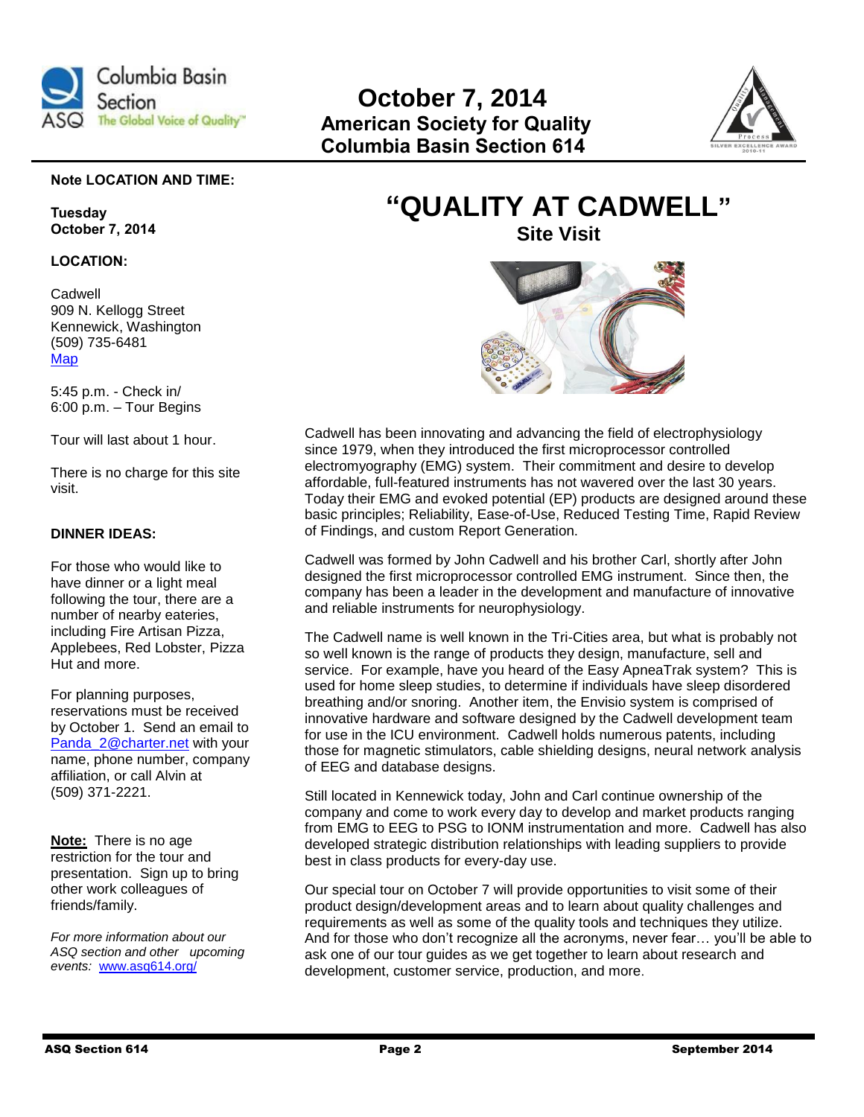



# **Note LOCATION AND TIME:**

**Tuesday October 7, 2014**

# **LOCATION:**

Cadwell 909 N. Kellogg Street Kennewick, Washington (509) 735-6481 [Map](https://www.google.com/maps/place/Cadwell+Laboratories+Inc/@46.220516,-119.203612,17z/data=!3m1!4b1!4m2!3m1!1s0x5498799070aa09a7:0x7684f74b1a0565e6)

5:45 p.m. - Check in/ 6:00 p.m. – Tour Begins

Tour will last about 1 hour.

There is no charge for this site visit.

# **DINNER IDEAS:**

For those who would like to have dinner or a light meal following the tour, there are a number of nearby eateries, including Fire Artisan Pizza, Applebees, Red Lobster, Pizza Hut and more.

For planning purposes, reservations must be received by October 1. Send an email to [Panda\\_2@charter.net](mailto:Panda_2@charter.net) with your name, phone number, company affiliation, or call Alvin at (509) 371-2221.

**Note:** There is no age restriction for the tour and presentation. Sign up to bring other work colleagues of friends/family.

*For more information about our ASQ section and other upcoming events:* [www.asq614.org/](http://www.asq614.org/)

# **"QUALITY AT CADWELL" Site Visit**



Cadwell has been innovating and advancing the field of electrophysiology since 1979, when they introduced the first microprocessor controlled electromyography (EMG) system. Their commitment and desire to develop affordable, full-featured instruments has not wavered over the last 30 years. Today their EMG and evoked potential (EP) products are designed around these basic principles; Reliability, Ease-of-Use, Reduced Testing Time, Rapid Review of Findings, and custom Report Generation.

Cadwell was formed by John Cadwell and his brother Carl, shortly after John designed the first microprocessor controlled EMG instrument. Since then, the company has been a leader in the development and manufacture of innovative and reliable instruments for neurophysiology.

The Cadwell name is well known in the Tri-Cities area, but what is probably not so well known is the range of products they design, manufacture, sell and service. For example, have you heard of the Easy ApneaTrak system? This is used for home sleep studies, to determine if individuals have sleep disordered breathing and/or snoring. Another item, the Envisio system is comprised of innovative hardware and software designed by the Cadwell development team for use in the ICU environment. Cadwell holds numerous patents, including those for magnetic stimulators, cable shielding designs, neural network analysis of EEG and database designs.

Still located in Kennewick today, John and Carl continue ownership of the company and come to work every day to develop and market products ranging from EMG to EEG to PSG to IONM instrumentation and more. Cadwell has also developed strategic distribution relationships with leading suppliers to provide best in class products for every-day use.

Our special tour on October 7 will provide opportunities to visit some of their product design/development areas and to learn about quality challenges and requirements as well as some of the quality tools and techniques they utilize. And for those who don't recognize all the acronyms, never fear… you'll be able to ask one of our tour guides as we get together to learn about research and development, customer service, production, and more.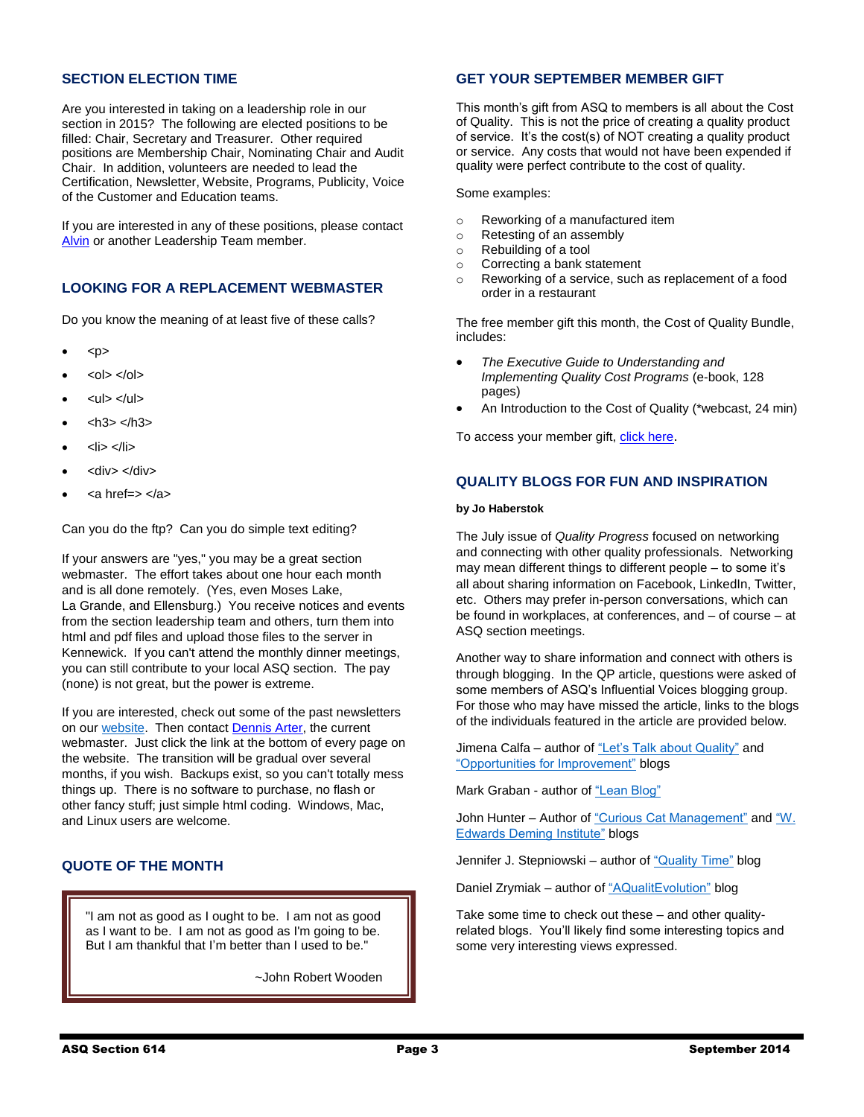# **SECTION ELECTION TIME**

Are you interested in taking on a leadership role in our section in 2015? The following are elected positions to be filled: Chair, Secretary and Treasurer. Other required positions are Membership Chair, Nominating Chair and Audit Chair. In addition, volunteers are needed to lead the Certification, Newsletter, Website, Programs, Publicity, Voice of the Customer and Education teams.

If you are interested in any of these positions, please contact [Alvin](mailto:panda_2@charter.net) or another Leadership Team member.

# **LOOKING FOR A REPLACEMENT WEBMASTER**

Do you know the meaning of at least five of these calls?

- <p>
- $<$ ol $>$  $<$ /ol $>$
- <ul> </ul>
- $<$ h3> $<$ h3>
- <li> </li>
- <div> </div>
- <a href=> </a>

Can you do the ftp? Can you do simple text editing?

If your answers are "yes," you may be a great section webmaster. The effort takes about one hour each month and is all done remotely. (Yes, even Moses Lake, La Grande, and Ellensburg.) You receive notices and events from the section leadership team and others, turn them into html and pdf files and upload those files to the server in Kennewick. If you can't attend the monthly dinner meetings, you can still contribute to your local ASQ section. The pay (none) is not great, but the power is extreme.

If you are interested, check out some of the past newsletters on our [website.](http://asq614.org/) Then contac[t Dennis Arter,](mailto:dennis@auditguy.net) the current webmaster. Just click the link at the bottom of every page on the website. The transition will be gradual over several months, if you wish. Backups exist, so you can't totally mess things up. There is no software to purchase, no flash or other fancy stuff; just simple html coding. Windows, Mac, and Linux users are welcome.

# **QUOTE OF THE MONTH**

"I am not as good as I ought to be. I am not as good as I want to be. I am not as good as I'm going to be. But I am thankful that I'm better than I used to be."

~John Robert Wooden

# **GET YOUR SEPTEMBER MEMBER GIFT**

This month's gift from ASQ to members is all about the Cost of Quality. This is not the price of creating a quality product of service. It's the cost(s) of NOT creating a quality product or service. Any costs that would not have been expended if quality were perfect contribute to the cost of quality.

Some examples:

- o Reworking of a manufactured item
- o Retesting of an assembly
- o Rebuilding of a tool
- o Correcting a bank statement
- o Reworking of a service, such as replacement of a food order in a restaurant

The free member gift this month, the Cost of Quality Bundle, includes:

- *The Executive Guide to Understanding and Implementing Quality Cost Programs* (e-book, 128 pages)
- An Introduction to the Cost of Quality (\*webcast, 24 min)

To access your member gift, [click here](http://links.communications.asq.org/ctt?kn=3&ms=OTM1NTEwMAS2&r=MTM1NzIxMzA3NDM4S0&b=0&j=MzgwMTQzODkzS0&mt=1&rt=0).

# **QUALITY BLOGS FOR FUN AND INSPIRATION**

## **by Jo Haberstok**

The July issue of *Quality Progress* focused on networking and connecting with other quality professionals. Networking may mean different things to different people – to some it's all about sharing information on Facebook, LinkedIn, Twitter, etc. Others may prefer in-person conversations, which can be found in workplaces, at conferences, and – of course – at ASQ section meetings.

Another way to share information and connect with others is through blogging. In the QP article, questions were asked of some members of ASQ's Influential Voices blogging group. For those who may have missed the article, links to the blogs of the individuals featured in the article are provided below.

Jimena Calfa – author of ["Let's Talk about Quality"](http://onquality.blogspot.com/) and ["Opportunities for Improvement"](http://onquality.blogspot.com/2013/05/ofi-opportunities-for-improvement.html) blogs

Mark Graban - author of ["Lean Blog"](http://www.leanblog.org/)

John Hunter – Author of ["Curious Cat Management"](http://management.curiouscatblog.net/) and "W. [Edwards Deming Institute"](http://blog.deming.org/) blogs

Jennifer J. Stepniowski – author of ["Quality Time"](http://ijenn.me/) blog

Daniel Zrymiak – author o[f "AQualitEvolution"](http://qualitevolution.blogspot.ca/) blog

Take some time to check out these – and other qualityrelated blogs. You'll likely find some interesting topics and some very interesting views expressed.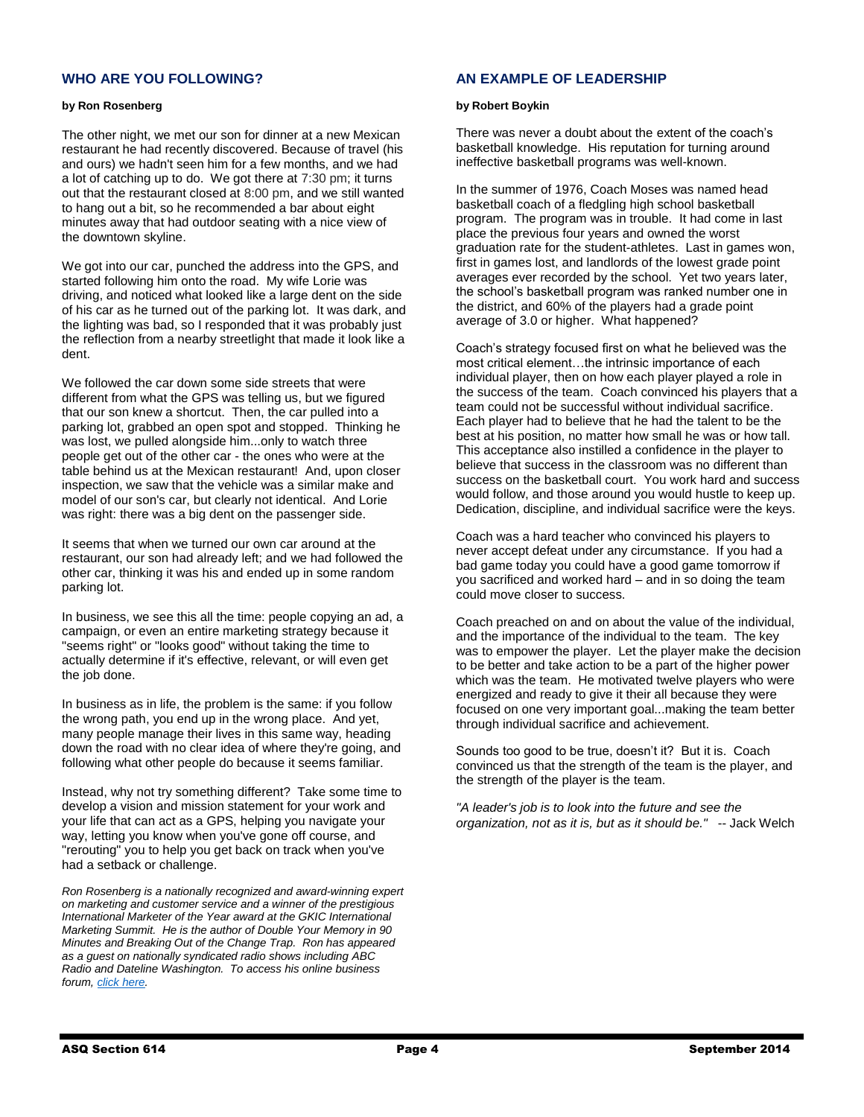# **WHO ARE YOU FOLLOWING?**

## **by Ron Rosenberg**

The other night, we met our son for dinner at a new Mexican restaurant he had recently discovered. Because of travel (his and ours) we hadn't seen him for a few months, and we had a lot of catching up to do. We got there at 7:30 pm; it turns out that the restaurant closed at 8:00 pm, and we still wanted to hang out a bit, so he recommended a bar about eight minutes away that had outdoor seating with a nice view of the downtown skyline.

We got into our car, punched the address into the GPS, and started following him onto the road. My wife Lorie was driving, and noticed what looked like a large dent on the side of his car as he turned out of the parking lot. It was dark, and the lighting was bad, so I responded that it was probably just the reflection from a nearby streetlight that made it look like a dent.

We followed the car down some side streets that were different from what the GPS was telling us, but we figured that our son knew a shortcut. Then, the car pulled into a parking lot, grabbed an open spot and stopped. Thinking he was lost, we pulled alongside him...only to watch three people get out of the other car - the ones who were at the table behind us at the Mexican restaurant! And, upon closer inspection, we saw that the vehicle was a similar make and model of our son's car, but clearly not identical. And Lorie was right: there was a big dent on the passenger side.

It seems that when we turned our own car around at the restaurant, our son had already left; and we had followed the other car, thinking it was his and ended up in some random parking lot.

In business, we see this all the time: people copying an ad, a campaign, or even an entire marketing strategy because it "seems right" or "looks good" without taking the time to actually determine if it's effective, relevant, or will even get the job done.

In business as in life, the problem is the same: if you follow the wrong path, you end up in the wrong place. And yet, many people manage their lives in this same way, heading down the road with no clear idea of where they're going, and following what other people do because it seems familiar.

Instead, why not try something different? Take some time to develop a vision and mission statement for your work and your life that can act as a GPS, helping you navigate your way, letting you know when you've gone off course, and "rerouting" you to help you get back on track when you've had a setback or challenge.

*Ron Rosenberg is a nationally recognized and award-winning expert on marketing and customer service and a winner of the prestigious International Marketer of the Year award at the GKIC International Marketing Summit. He is the author of Double Your Memory in 90 Minutes and Breaking Out of the Change Trap. Ron has appeared as a guest on nationally syndicated radio shows including ABC Radio and Dateline Washington. To access his online business forum, [click here.](http://businessownersurvivalkit.com/)*

# **AN EXAMPLE OF LEADERSHIP**

### **by Robert Boykin**

There was never a doubt about the extent of the coach's basketball knowledge. His reputation for turning around ineffective basketball programs was well-known.

In the summer of 1976, Coach Moses was named head basketball coach of a fledgling high school basketball program. The program was in trouble. It had come in last place the previous four years and owned the worst graduation rate for the student-athletes. Last in games won, first in games lost, and landlords of the lowest grade point averages ever recorded by the school. Yet two years later, the school's basketball program was ranked number one in the district, and 60% of the players had a grade point average of 3.0 or higher. What happened?

Coach's strategy focused first on what he believed was the most critical element…the intrinsic importance of each individual player, then on how each player played a role in the success of the team. Coach convinced his players that a team could not be successful without individual sacrifice. Each player had to believe that he had the talent to be the best at his position, no matter how small he was or how tall. This acceptance also instilled a confidence in the player to believe that success in the classroom was no different than success on the basketball court. You work hard and success would follow, and those around you would hustle to keep up. Dedication, discipline, and individual sacrifice were the keys.

Coach was a hard teacher who convinced his players to never accept defeat under any circumstance. If you had a bad game today you could have a good game tomorrow if you sacrificed and worked hard – and in so doing the team could move closer to success.

Coach preached on and on about the value of the individual, and the importance of the individual to the team. The key was to empower the player. Let the player make the decision to be better and take action to be a part of the higher power which was the team. He motivated twelve players who were energized and ready to give it their all because they were focused on one very important goal...making the team better through individual sacrifice and achievement.

Sounds too good to be true, doesn't it? But it is. Coach convinced us that the strength of the team is the player, and the strength of the player is the team.

*"A leader's job is to look into the future and see the organization, not as it is, but as it should be."* -- Jack Welch